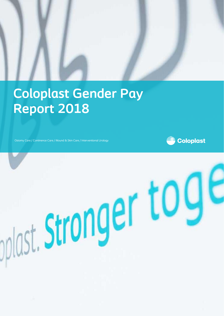

stronger tog

# **Coloplast Gender Pay Report 2018**

Ostomy Care / Continence Care / Wound & Skin Care / Interventional Urology

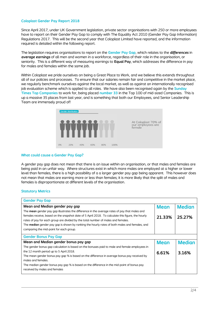#### **Coloplast Gender Pay Report 2018**

Since April 2017, under UK Government legislation, private sector organisations with 250 or more employees have to report on their Gender Pay Gap to comply with The Equality Act 2010 (Gender Pay Gap Information) Regulations 2017. This will be the second year that Coloplast Limited have reported, and the information required is detailed within the following report.

The legislation requires organisations to report on the **Gender Pay Gap**, which relates to the *differences* in *average earnings* of all men and women in a workforce, regardless of their role in the organisation, or seniority. This is a different way of measuring earnings to **Equal Pay**, which addresses the difference in pay for males and females within the same job.

Within Coloplast we pride ourselves on being a Great Place to Work, and we believe this extends throughout all of our policies and processes. To ensure that our salaries remain fair and competitive in the market place, we regularly benchmark ourselves against the local market, as well as against an internationally recognised job evaluation scheme which is applied to all roles. We have also been recognised again by the **Sunday Times Top Companies** to work for, being placed **number 33** in the Top 100 of mid-sized Companies. This is up a massive 35 places from last year, and is something that both our Employees, and Senior Leadership Team are immensely proud of!



### **What could cause a Gender Pay Gap?**

A gender pay gap does not mean that there is an issue within an organisation, or that males and females are being paid in an unfair way. Where structures exist in which more males are employed at a higher or lower level than females, there is a high possibility of a a larger gender pay gap being apparent. This however does not mean that males are earning more or less than females; it is more likely that the split of males and females is disproportionate at different levels of the organisation.

## **Statutory Metrics**

| <b>Gender Pay Gap</b>                                                                                |                |               |
|------------------------------------------------------------------------------------------------------|----------------|---------------|
| Mean and Median gender pay gap                                                                       | <b>Mean</b>    | <b>Median</b> |
| The <b>mean</b> gender pay gap illustrates the difference in the average rates of pay that males and |                |               |
| females receive, based on the snapshot date of 5 April 2018. To calculate this figure, the hourly    | 21.33%         | 25.27%        |
| rates of pay for each group are divided by the total number of males and females.                    |                |               |
| The median gender pay gap is shown by ranking the hourly rates of both males and females, and        |                |               |
| comparing the mid-point for each group.                                                              |                |               |
| <b>Gender Bonus Pay Gap</b>                                                                          |                |               |
| Mean and Median gender bonus pay gap                                                                 | <b>Mean</b>    | <b>Median</b> |
| The gender bonus gap calculation is based on the bonuses paid to male and female employees in        |                |               |
| the 12 month period up to 5 April 2018.                                                              | 6.61%<br>3.16% |               |
| The mean gender bonus pay gap % is based on the difference in average bonus pay received by          |                |               |
| males and females.                                                                                   |                |               |
| The median gender bonus pay gap % is based on the difference in the mid-point of bonus pay           |                |               |
| received by males and females                                                                        |                |               |
|                                                                                                      |                |               |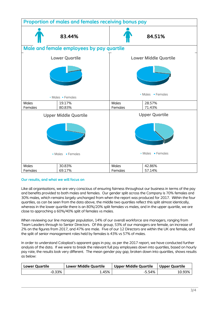

# **Our results, and what we will focus on**

Like all organisations, we are very conscious of ensuring fairness throughout our business in terms of the pay and benefits provided to both males and females. Our gender split across the Company is 70% females and 30% males, which remains largely unchanged from when the report was produced for 2017. Within the four quartiles, as can be seen from the data above, the middle two quartiles reflect this split almost identically, whereas in the lower quartile there is an 80%/20% split females vs males, and in the upper quartile, we are close to approching a 60%/40% split of females vs males.

When reviewing our line manager population, 14% of our overall workforce are managers, ranging from Team Leaders through to Senior Directors. Of this group, 53% of our managers are female, an increase of 2% on the figures from 2017, and 47% are male. Five of our 12 Directors are within the UK are female, and the split of senior management roles held by females is 43% vs 57% of males.

In order to understand Coloplast's apparent gaps in pay, as per the 2017 report, we have conducted further analysis of the data. If we were to break the relevant full pay employees down into quartiles, based on hourly pay rate, the results look very different. The mean gender pay gap, broken down into quartiles, shows results as below:

| <b>Lower Quartile</b> | <b>Lower Middle Quartile</b> | <b>Upper Middle Quartile</b> | <b>Upper Quartile</b> |
|-----------------------|------------------------------|------------------------------|-----------------------|
| $-0.33%$              | ∴45%                         | -5.54%                       | 10.93%                |